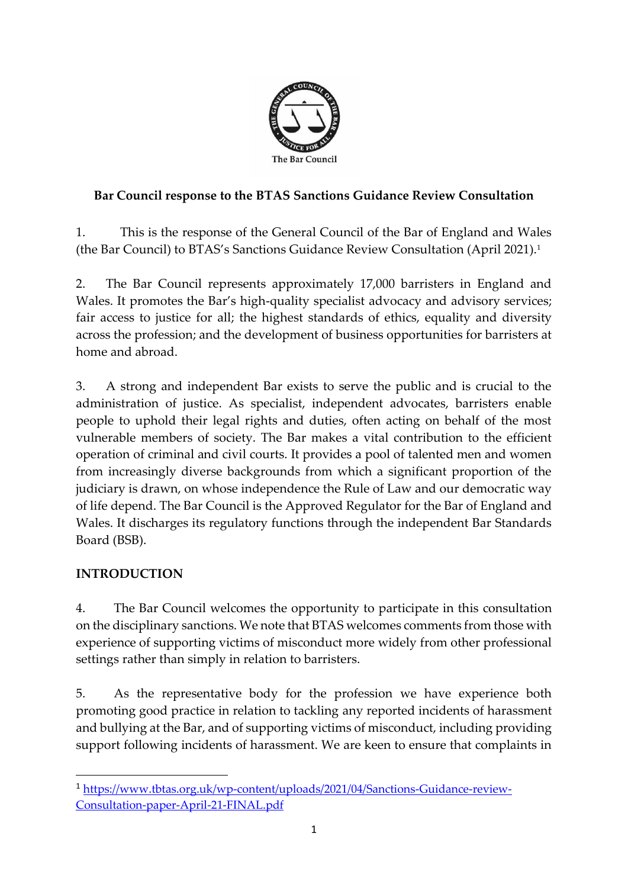

## **Bar Council response to the BTAS Sanctions Guidance Review Consultation**

1. This is the response of the General Council of the Bar of England and Wales (the Bar Council) to BTAS's Sanctions Guidance Review Consultation (April 2021).<sup>1</sup>

2. The Bar Council represents approximately 17,000 barristers in England and Wales. It promotes the Bar's high-quality specialist advocacy and advisory services; fair access to justice for all; the highest standards of ethics, equality and diversity across the profession; and the development of business opportunities for barristers at home and abroad.

3. A strong and independent Bar exists to serve the public and is crucial to the administration of justice. As specialist, independent advocates, barristers enable people to uphold their legal rights and duties, often acting on behalf of the most vulnerable members of society. The Bar makes a vital contribution to the efficient operation of criminal and civil courts. It provides a pool of talented men and women from increasingly diverse backgrounds from which a significant proportion of the judiciary is drawn, on whose independence the Rule of Law and our democratic way of life depend. The Bar Council is the Approved Regulator for the Bar of England and Wales. It discharges its regulatory functions through the independent Bar Standards Board (BSB).

## **INTRODUCTION**

4. The Bar Council welcomes the opportunity to participate in this consultation on the disciplinary sanctions. We note that BTAS welcomes comments from those with experience of supporting victims of misconduct more widely from other professional settings rather than simply in relation to barristers.

5. As the representative body for the profession we have experience both promoting good practice in relation to tackling any reported incidents of harassment and bullying at the Bar, and of supporting victims of misconduct, including providing support following incidents of harassment. We are keen to ensure that complaints in

<sup>1</sup> [https://www.tbtas.org.uk/wp-content/uploads/2021/04/Sanctions-Guidance-review-](https://www.tbtas.org.uk/wp-content/uploads/2021/04/Sanctions-Guidance-review-Consultation-paper-April-21-FINAL.pdf)[Consultation-paper-April-21-FINAL.pdf](https://www.tbtas.org.uk/wp-content/uploads/2021/04/Sanctions-Guidance-review-Consultation-paper-April-21-FINAL.pdf)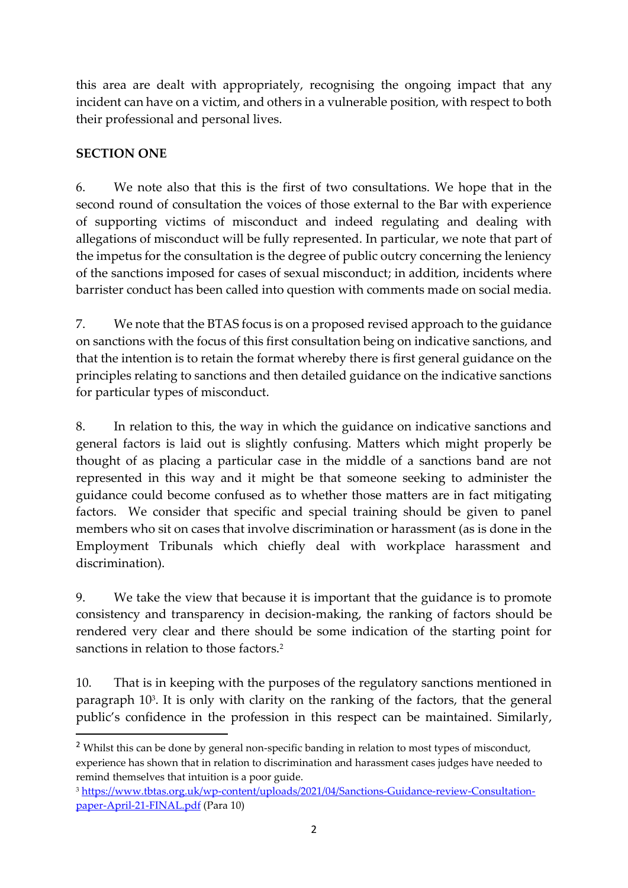this area are dealt with appropriately, recognising the ongoing impact that any incident can have on a victim, and others in a vulnerable position, with respect to both their professional and personal lives.

## **SECTION ONE**

6. We note also that this is the first of two consultations. We hope that in the second round of consultation the voices of those external to the Bar with experience of supporting victims of misconduct and indeed regulating and dealing with allegations of misconduct will be fully represented. In particular, we note that part of the impetus for the consultation is the degree of public outcry concerning the leniency of the sanctions imposed for cases of sexual misconduct; in addition, incidents where barrister conduct has been called into question with comments made on social media.

7. We note that the BTAS focus is on a proposed revised approach to the guidance on sanctions with the focus of this first consultation being on indicative sanctions, and that the intention is to retain the format whereby there is first general guidance on the principles relating to sanctions and then detailed guidance on the indicative sanctions for particular types of misconduct.

8. In relation to this, the way in which the guidance on indicative sanctions and general factors is laid out is slightly confusing. Matters which might properly be thought of as placing a particular case in the middle of a sanctions band are not represented in this way and it might be that someone seeking to administer the guidance could become confused as to whether those matters are in fact mitigating factors. We consider that specific and special training should be given to panel members who sit on cases that involve discrimination or harassment (as is done in the Employment Tribunals which chiefly deal with workplace harassment and discrimination).

9. We take the view that because it is important that the guidance is to promote consistency and transparency in decision-making, the ranking of factors should be rendered very clear and there should be some indication of the starting point for sanctions in relation to those factors.<sup>2</sup>

10. That is in keeping with the purposes of the regulatory sanctions mentioned in paragraph 10<sup>3</sup> . It is only with clarity on the ranking of the factors, that the general public's confidence in the profession in this respect can be maintained. Similarly,

<sup>&</sup>lt;sup>2</sup> Whilst this can be done by general non-specific banding in relation to most types of misconduct, experience has shown that in relation to discrimination and harassment cases judges have needed to remind themselves that intuition is a poor guide.

<sup>3</sup> [https://www.tbtas.org.uk/wp-content/uploads/2021/04/Sanctions-Guidance-review-Consultation](https://www.tbtas.org.uk/wp-content/uploads/2021/04/Sanctions-Guidance-review-Consultation-paper-April-21-FINAL.pdf)[paper-April-21-FINAL.pdf](https://www.tbtas.org.uk/wp-content/uploads/2021/04/Sanctions-Guidance-review-Consultation-paper-April-21-FINAL.pdf) (Para 10)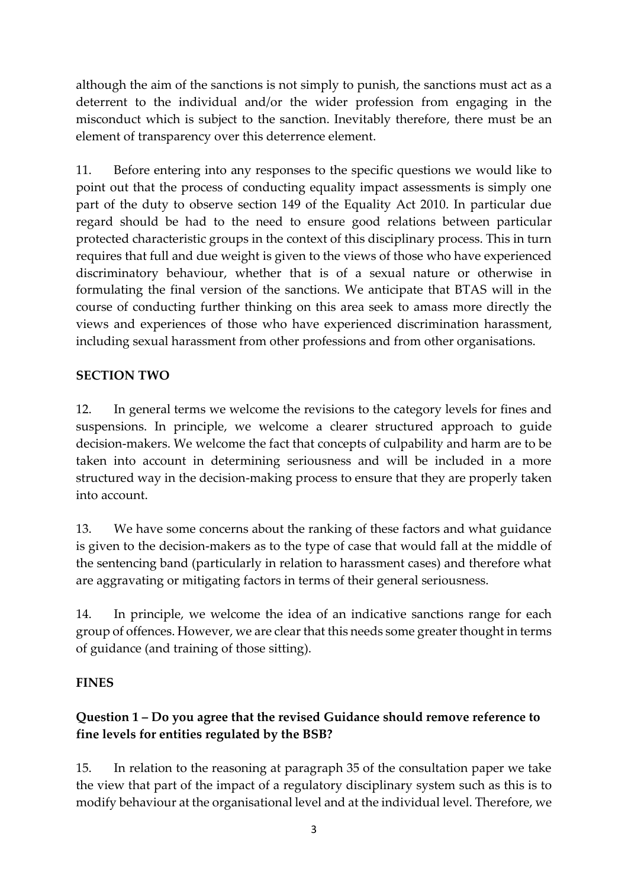although the aim of the sanctions is not simply to punish, the sanctions must act as a deterrent to the individual and/or the wider profession from engaging in the misconduct which is subject to the sanction. Inevitably therefore, there must be an element of transparency over this deterrence element.

11. Before entering into any responses to the specific questions we would like to point out that the process of conducting equality impact assessments is simply one part of the duty to observe section 149 of the Equality Act 2010. In particular due regard should be had to the need to ensure good relations between particular protected characteristic groups in the context of this disciplinary process. This in turn requires that full and due weight is given to the views of those who have experienced discriminatory behaviour, whether that is of a sexual nature or otherwise in formulating the final version of the sanctions. We anticipate that BTAS will in the course of conducting further thinking on this area seek to amass more directly the views and experiences of those who have experienced discrimination harassment, including sexual harassment from other professions and from other organisations.

## **SECTION TWO**

12. In general terms we welcome the revisions to the category levels for fines and suspensions. In principle, we welcome a clearer structured approach to guide decision-makers. We welcome the fact that concepts of culpability and harm are to be taken into account in determining seriousness and will be included in a more structured way in the decision-making process to ensure that they are properly taken into account.

13. We have some concerns about the ranking of these factors and what guidance is given to the decision-makers as to the type of case that would fall at the middle of the sentencing band (particularly in relation to harassment cases) and therefore what are aggravating or mitigating factors in terms of their general seriousness.

14. In principle, we welcome the idea of an indicative sanctions range for each group of offences. However, we are clear that this needs some greater thought in terms of guidance (and training of those sitting).

## **FINES**

# **Question 1 – Do you agree that the revised Guidance should remove reference to fine levels for entities regulated by the BSB?**

15. In relation to the reasoning at paragraph 35 of the consultation paper we take the view that part of the impact of a regulatory disciplinary system such as this is to modify behaviour at the organisational level and at the individual level. Therefore, we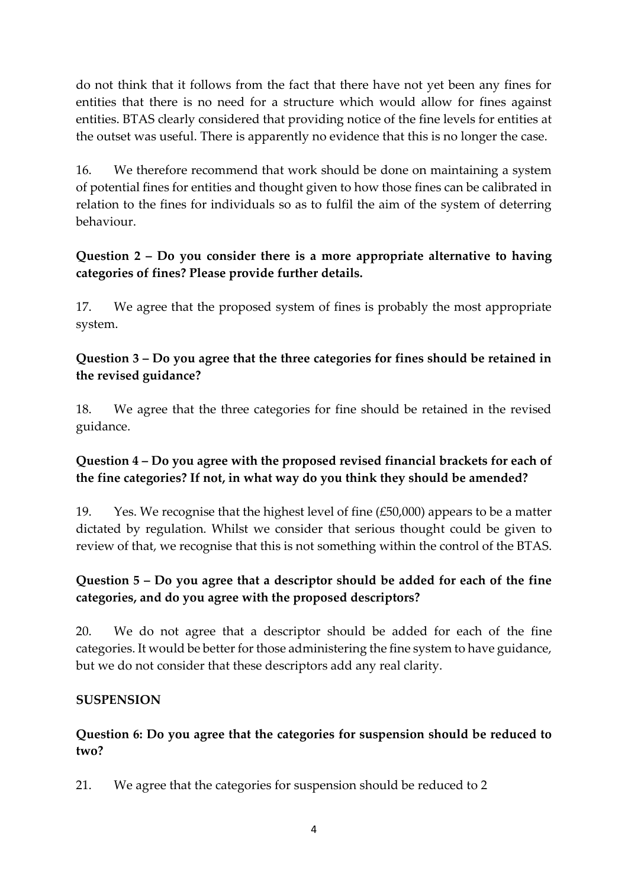do not think that it follows from the fact that there have not yet been any fines for entities that there is no need for a structure which would allow for fines against entities. BTAS clearly considered that providing notice of the fine levels for entities at the outset was useful. There is apparently no evidence that this is no longer the case.

16. We therefore recommend that work should be done on maintaining a system of potential fines for entities and thought given to how those fines can be calibrated in relation to the fines for individuals so as to fulfil the aim of the system of deterring behaviour.

## **Question 2 – Do you consider there is a more appropriate alternative to having categories of fines? Please provide further details.**

17. We agree that the proposed system of fines is probably the most appropriate system.

## **Question 3 – Do you agree that the three categories for fines should be retained in the revised guidance?**

18. We agree that the three categories for fine should be retained in the revised guidance.

#### **Question 4 – Do you agree with the proposed revised financial brackets for each of the fine categories? If not, in what way do you think they should be amended?**

19. Yes. We recognise that the highest level of fine  $(E50,000)$  appears to be a matter dictated by regulation. Whilst we consider that serious thought could be given to review of that, we recognise that this is not something within the control of the BTAS.

## **Question 5 – Do you agree that a descriptor should be added for each of the fine categories, and do you agree with the proposed descriptors?**

20. We do not agree that a descriptor should be added for each of the fine categories. It would be better for those administering the fine system to have guidance, but we do not consider that these descriptors add any real clarity.

## **SUSPENSION**

## **Question 6: Do you agree that the categories for suspension should be reduced to two?**

21. We agree that the categories for suspension should be reduced to 2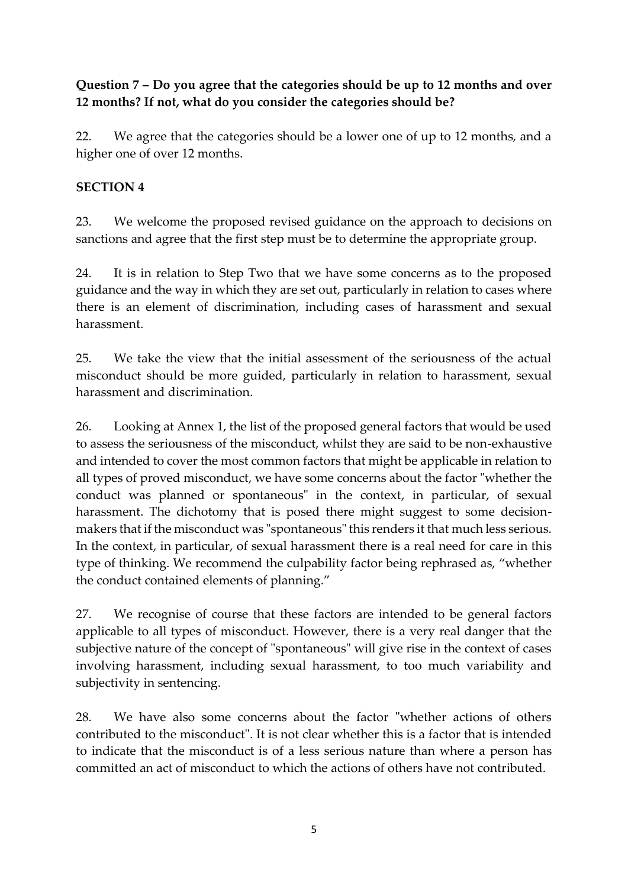**Question 7 – Do you agree that the categories should be up to 12 months and over 12 months? If not, what do you consider the categories should be?** 

22. We agree that the categories should be a lower one of up to 12 months, and a higher one of over 12 months.

#### **SECTION 4**

23. We welcome the proposed revised guidance on the approach to decisions on sanctions and agree that the first step must be to determine the appropriate group.

24. It is in relation to Step Two that we have some concerns as to the proposed guidance and the way in which they are set out, particularly in relation to cases where there is an element of discrimination, including cases of harassment and sexual harassment.

25. We take the view that the initial assessment of the seriousness of the actual misconduct should be more guided, particularly in relation to harassment, sexual harassment and discrimination.

26. Looking at Annex 1, the list of the proposed general factors that would be used to assess the seriousness of the misconduct, whilst they are said to be non-exhaustive and intended to cover the most common factors that might be applicable in relation to all types of proved misconduct, we have some concerns about the factor "whether the conduct was planned or spontaneous" in the context, in particular, of sexual harassment. The dichotomy that is posed there might suggest to some decisionmakers that if the misconduct was "spontaneous" this renders it that much less serious. In the context, in particular, of sexual harassment there is a real need for care in this type of thinking. We recommend the culpability factor being rephrased as, "whether the conduct contained elements of planning."

27. We recognise of course that these factors are intended to be general factors applicable to all types of misconduct. However, there is a very real danger that the subjective nature of the concept of "spontaneous" will give rise in the context of cases involving harassment, including sexual harassment, to too much variability and subjectivity in sentencing.

28. We have also some concerns about the factor "whether actions of others contributed to the misconduct". It is not clear whether this is a factor that is intended to indicate that the misconduct is of a less serious nature than where a person has committed an act of misconduct to which the actions of others have not contributed.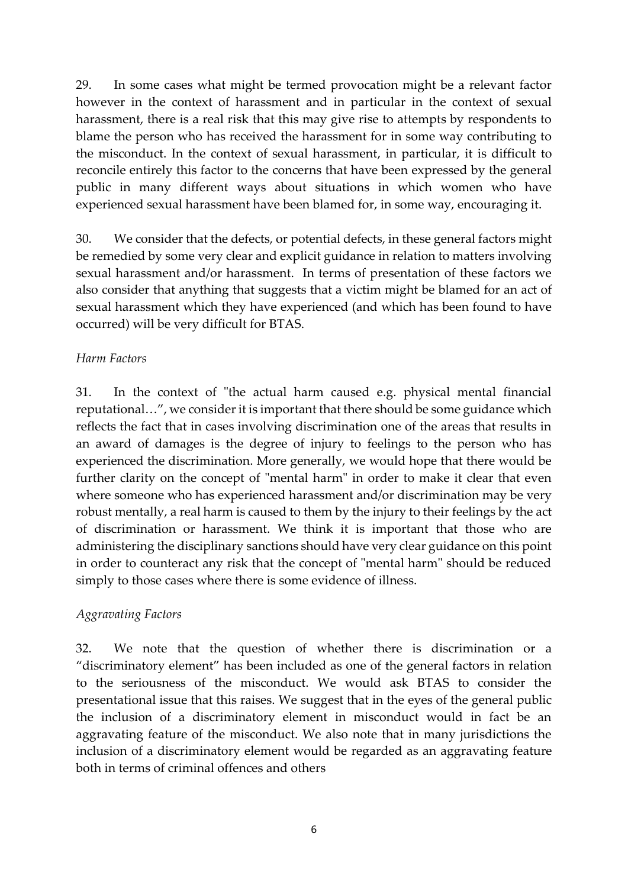29. In some cases what might be termed provocation might be a relevant factor however in the context of harassment and in particular in the context of sexual harassment, there is a real risk that this may give rise to attempts by respondents to blame the person who has received the harassment for in some way contributing to the misconduct. In the context of sexual harassment, in particular, it is difficult to reconcile entirely this factor to the concerns that have been expressed by the general public in many different ways about situations in which women who have experienced sexual harassment have been blamed for, in some way, encouraging it.

30. We consider that the defects, or potential defects, in these general factors might be remedied by some very clear and explicit guidance in relation to matters involving sexual harassment and/or harassment. In terms of presentation of these factors we also consider that anything that suggests that a victim might be blamed for an act of sexual harassment which they have experienced (and which has been found to have occurred) will be very difficult for BTAS.

#### *Harm Factors*

31. In the context of "the actual harm caused e.g. physical mental financial reputational…", we consider it is important that there should be some guidance which reflects the fact that in cases involving discrimination one of the areas that results in an award of damages is the degree of injury to feelings to the person who has experienced the discrimination. More generally, we would hope that there would be further clarity on the concept of "mental harm" in order to make it clear that even where someone who has experienced harassment and/or discrimination may be very robust mentally, a real harm is caused to them by the injury to their feelings by the act of discrimination or harassment. We think it is important that those who are administering the disciplinary sanctions should have very clear guidance on this point in order to counteract any risk that the concept of "mental harm" should be reduced simply to those cases where there is some evidence of illness.

#### *Aggravating Factors*

32. We note that the question of whether there is discrimination or a "discriminatory element" has been included as one of the general factors in relation to the seriousness of the misconduct. We would ask BTAS to consider the presentational issue that this raises. We suggest that in the eyes of the general public the inclusion of a discriminatory element in misconduct would in fact be an aggravating feature of the misconduct. We also note that in many jurisdictions the inclusion of a discriminatory element would be regarded as an aggravating feature both in terms of criminal offences and others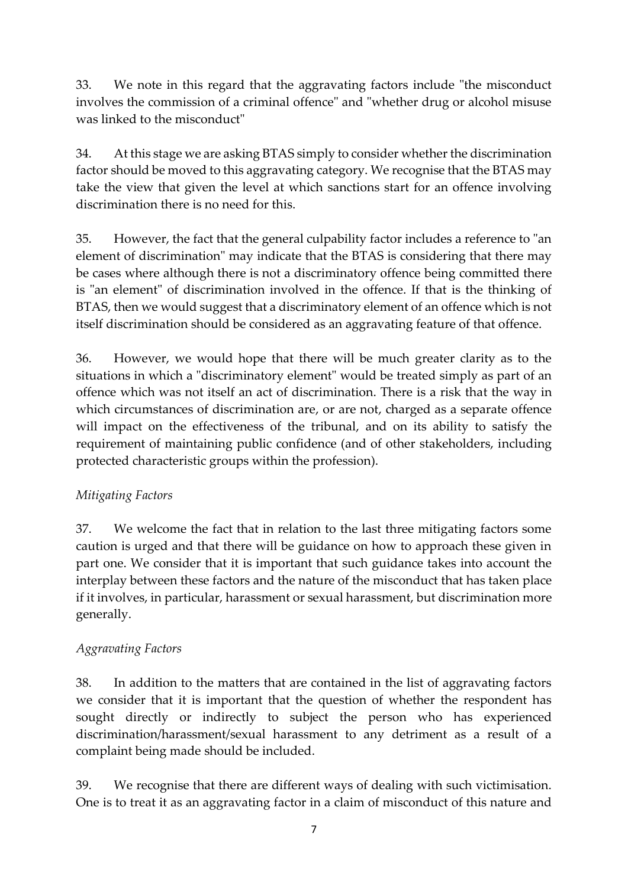33. We note in this regard that the aggravating factors include "the misconduct involves the commission of a criminal offence" and "whether drug or alcohol misuse was linked to the misconduct"

34. At this stage we are asking BTAS simply to consider whether the discrimination factor should be moved to this aggravating category. We recognise that the BTAS may take the view that given the level at which sanctions start for an offence involving discrimination there is no need for this.

35. However, the fact that the general culpability factor includes a reference to "an element of discrimination" may indicate that the BTAS is considering that there may be cases where although there is not a discriminatory offence being committed there is "an element" of discrimination involved in the offence. If that is the thinking of BTAS, then we would suggest that a discriminatory element of an offence which is not itself discrimination should be considered as an aggravating feature of that offence.

36. However, we would hope that there will be much greater clarity as to the situations in which a "discriminatory element" would be treated simply as part of an offence which was not itself an act of discrimination. There is a risk that the way in which circumstances of discrimination are, or are not, charged as a separate offence will impact on the effectiveness of the tribunal, and on its ability to satisfy the requirement of maintaining public confidence (and of other stakeholders, including protected characteristic groups within the profession).

## *Mitigating Factors*

37. We welcome the fact that in relation to the last three mitigating factors some caution is urged and that there will be guidance on how to approach these given in part one. We consider that it is important that such guidance takes into account the interplay between these factors and the nature of the misconduct that has taken place if it involves, in particular, harassment or sexual harassment, but discrimination more generally.

## *Aggravating Factors*

38. In addition to the matters that are contained in the list of aggravating factors we consider that it is important that the question of whether the respondent has sought directly or indirectly to subject the person who has experienced discrimination/harassment/sexual harassment to any detriment as a result of a complaint being made should be included.

39. We recognise that there are different ways of dealing with such victimisation. One is to treat it as an aggravating factor in a claim of misconduct of this nature and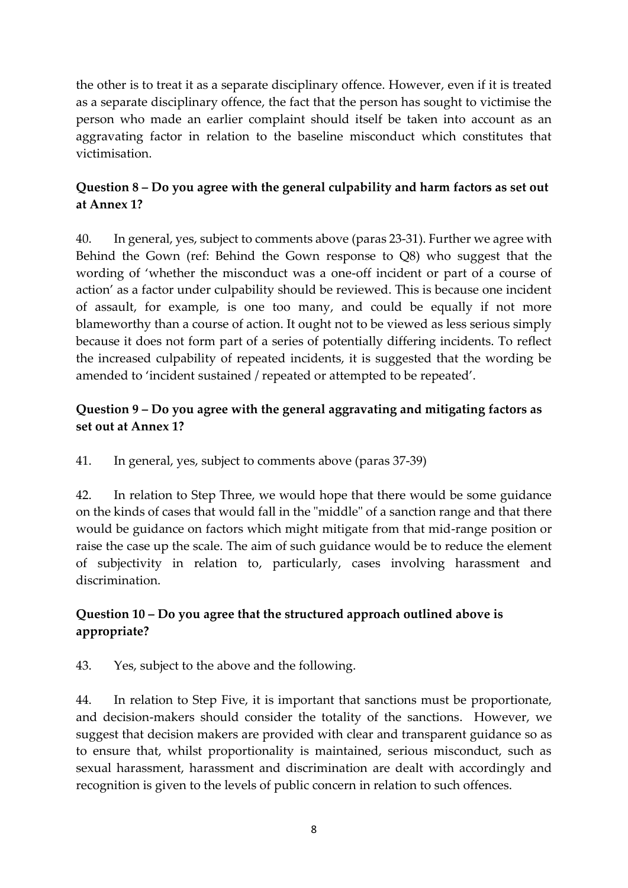the other is to treat it as a separate disciplinary offence. However, even if it is treated as a separate disciplinary offence, the fact that the person has sought to victimise the person who made an earlier complaint should itself be taken into account as an aggravating factor in relation to the baseline misconduct which constitutes that victimisation.

## **Question 8 – Do you agree with the general culpability and harm factors as set out at Annex 1?**

40. In general, yes, subject to comments above (paras 23-31). Further we agree with Behind the Gown (ref: Behind the Gown response to Q8) who suggest that the wording of 'whether the misconduct was a one-off incident or part of a course of action' as a factor under culpability should be reviewed. This is because one incident of assault, for example, is one too many, and could be equally if not more blameworthy than a course of action. It ought not to be viewed as less serious simply because it does not form part of a series of potentially differing incidents. To reflect the increased culpability of repeated incidents, it is suggested that the wording be amended to 'incident sustained / repeated or attempted to be repeated'.

## **Question 9 – Do you agree with the general aggravating and mitigating factors as set out at Annex 1?**

41. In general, yes, subject to comments above (paras 37-39)

42. In relation to Step Three, we would hope that there would be some guidance on the kinds of cases that would fall in the "middle" of a sanction range and that there would be guidance on factors which might mitigate from that mid-range position or raise the case up the scale. The aim of such guidance would be to reduce the element of subjectivity in relation to, particularly, cases involving harassment and discrimination.

## **Question 10 – Do you agree that the structured approach outlined above is appropriate?**

43. Yes, subject to the above and the following.

44. In relation to Step Five, it is important that sanctions must be proportionate, and decision-makers should consider the totality of the sanctions. However, we suggest that decision makers are provided with clear and transparent guidance so as to ensure that, whilst proportionality is maintained, serious misconduct, such as sexual harassment, harassment and discrimination are dealt with accordingly and recognition is given to the levels of public concern in relation to such offences.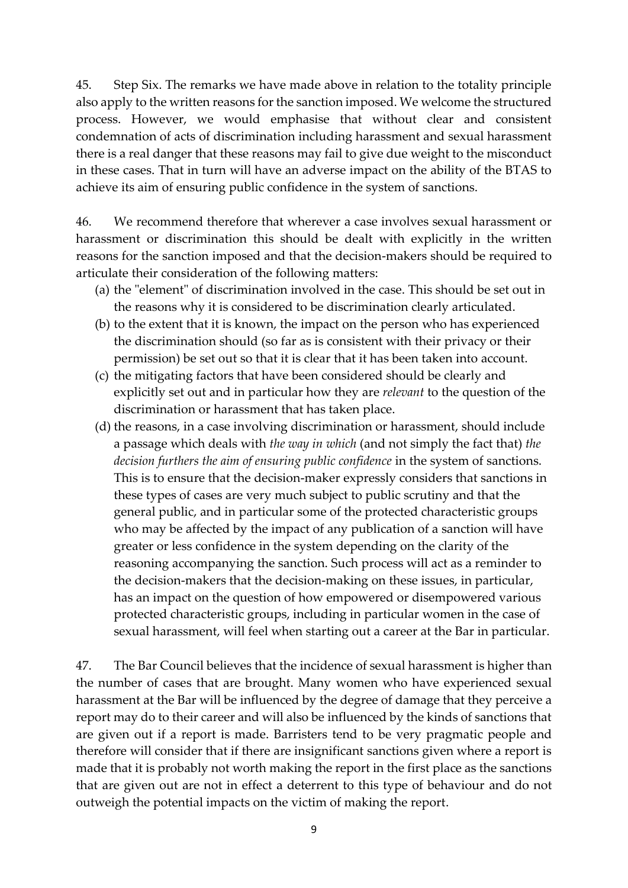45. Step Six. The remarks we have made above in relation to the totality principle also apply to the written reasons for the sanction imposed. We welcome the structured process. However, we would emphasise that without clear and consistent condemnation of acts of discrimination including harassment and sexual harassment there is a real danger that these reasons may fail to give due weight to the misconduct in these cases. That in turn will have an adverse impact on the ability of the BTAS to achieve its aim of ensuring public confidence in the system of sanctions.

46. We recommend therefore that wherever a case involves sexual harassment or harassment or discrimination this should be dealt with explicitly in the written reasons for the sanction imposed and that the decision-makers should be required to articulate their consideration of the following matters:

- (a) the "element" of discrimination involved in the case. This should be set out in the reasons why it is considered to be discrimination clearly articulated.
- (b) to the extent that it is known, the impact on the person who has experienced the discrimination should (so far as is consistent with their privacy or their permission) be set out so that it is clear that it has been taken into account.
- (c) the mitigating factors that have been considered should be clearly and explicitly set out and in particular how they are *relevant* to the question of the discrimination or harassment that has taken place.
- (d) the reasons, in a case involving discrimination or harassment, should include a passage which deals with *the way in which* (and not simply the fact that) *the decision furthers the aim of ensuring public confidence* in the system of sanctions. This is to ensure that the decision-maker expressly considers that sanctions in these types of cases are very much subject to public scrutiny and that the general public, and in particular some of the protected characteristic groups who may be affected by the impact of any publication of a sanction will have greater or less confidence in the system depending on the clarity of the reasoning accompanying the sanction. Such process will act as a reminder to the decision-makers that the decision-making on these issues, in particular, has an impact on the question of how empowered or disempowered various protected characteristic groups, including in particular women in the case of sexual harassment, will feel when starting out a career at the Bar in particular.

47. The Bar Council believes that the incidence of sexual harassment is higher than the number of cases that are brought. Many women who have experienced sexual harassment at the Bar will be influenced by the degree of damage that they perceive a report may do to their career and will also be influenced by the kinds of sanctions that are given out if a report is made. Barristers tend to be very pragmatic people and therefore will consider that if there are insignificant sanctions given where a report is made that it is probably not worth making the report in the first place as the sanctions that are given out are not in effect a deterrent to this type of behaviour and do not outweigh the potential impacts on the victim of making the report.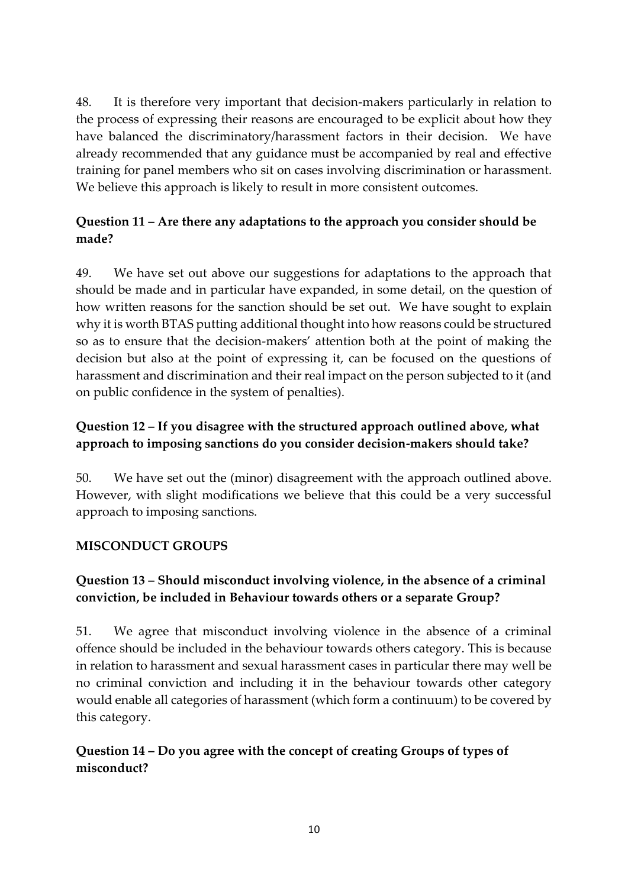48. It is therefore very important that decision-makers particularly in relation to the process of expressing their reasons are encouraged to be explicit about how they have balanced the discriminatory/harassment factors in their decision. We have already recommended that any guidance must be accompanied by real and effective training for panel members who sit on cases involving discrimination or harassment. We believe this approach is likely to result in more consistent outcomes.

## **Question 11 – Are there any adaptations to the approach you consider should be made?**

49. We have set out above our suggestions for adaptations to the approach that should be made and in particular have expanded, in some detail, on the question of how written reasons for the sanction should be set out. We have sought to explain why it is worth BTAS putting additional thought into how reasons could be structured so as to ensure that the decision-makers' attention both at the point of making the decision but also at the point of expressing it, can be focused on the questions of harassment and discrimination and their real impact on the person subjected to it (and on public confidence in the system of penalties).

## **Question 12 – If you disagree with the structured approach outlined above, what approach to imposing sanctions do you consider decision-makers should take?**

50. We have set out the (minor) disagreement with the approach outlined above. However, with slight modifications we believe that this could be a very successful approach to imposing sanctions.

## **MISCONDUCT GROUPS**

## **Question 13 – Should misconduct involving violence, in the absence of a criminal conviction, be included in Behaviour towards others or a separate Group?**

51. We agree that misconduct involving violence in the absence of a criminal offence should be included in the behaviour towards others category. This is because in relation to harassment and sexual harassment cases in particular there may well be no criminal conviction and including it in the behaviour towards other category would enable all categories of harassment (which form a continuum) to be covered by this category.

## **Question 14 – Do you agree with the concept of creating Groups of types of misconduct?**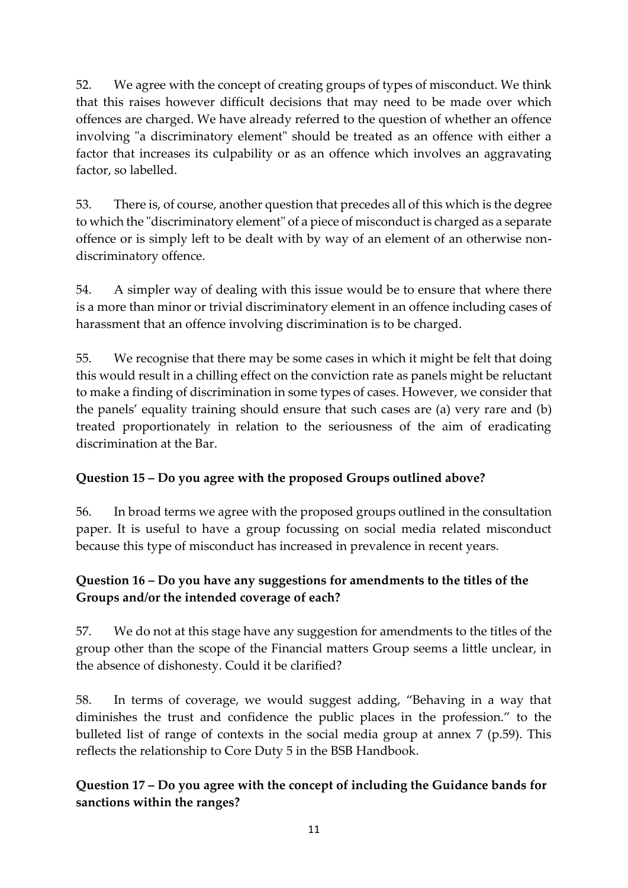52. We agree with the concept of creating groups of types of misconduct. We think that this raises however difficult decisions that may need to be made over which offences are charged. We have already referred to the question of whether an offence involving "a discriminatory element" should be treated as an offence with either a factor that increases its culpability or as an offence which involves an aggravating factor, so labelled.

53. There is, of course, another question that precedes all of this which is the degree to which the "discriminatory element" of a piece of misconduct is charged as a separate offence or is simply left to be dealt with by way of an element of an otherwise nondiscriminatory offence.

54. A simpler way of dealing with this issue would be to ensure that where there is a more than minor or trivial discriminatory element in an offence including cases of harassment that an offence involving discrimination is to be charged.

55. We recognise that there may be some cases in which it might be felt that doing this would result in a chilling effect on the conviction rate as panels might be reluctant to make a finding of discrimination in some types of cases. However, we consider that the panels' equality training should ensure that such cases are (a) very rare and (b) treated proportionately in relation to the seriousness of the aim of eradicating discrimination at the Bar.

# **Question 15 – Do you agree with the proposed Groups outlined above?**

56. In broad terms we agree with the proposed groups outlined in the consultation paper. It is useful to have a group focussing on social media related misconduct because this type of misconduct has increased in prevalence in recent years.

## **Question 16 – Do you have any suggestions for amendments to the titles of the Groups and/or the intended coverage of each?**

57. We do not at this stage have any suggestion for amendments to the titles of the group other than the scope of the Financial matters Group seems a little unclear, in the absence of dishonesty. Could it be clarified?

58. In terms of coverage, we would suggest adding, "Behaving in a way that diminishes the trust and confidence the public places in the profession." to the bulleted list of range of contexts in the social media group at annex 7 (p.59). This reflects the relationship to Core Duty 5 in the BSB Handbook.

# **Question 17 – Do you agree with the concept of including the Guidance bands for sanctions within the ranges?**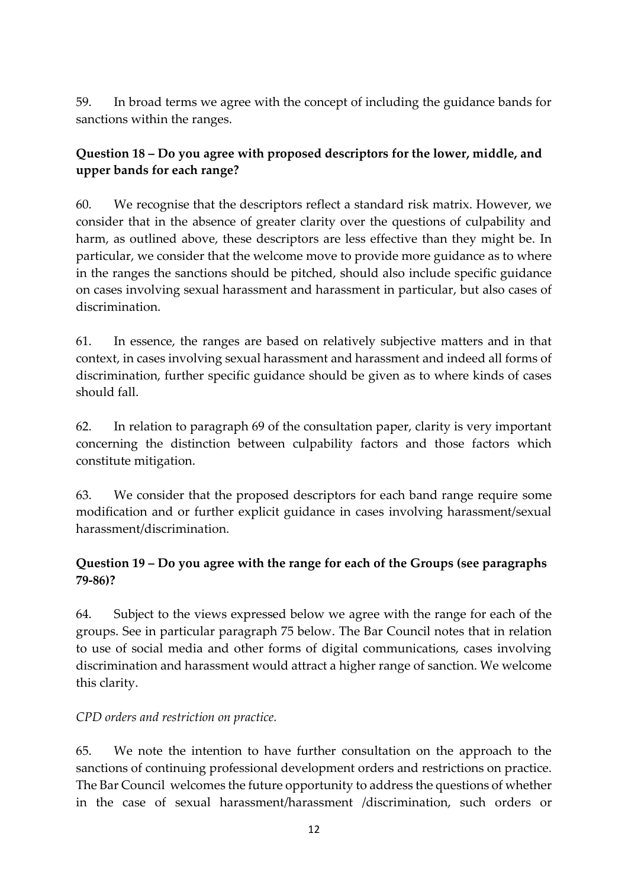59. In broad terms we agree with the concept of including the guidance bands for sanctions within the ranges.

## **Question 18 – Do you agree with proposed descriptors for the lower, middle, and upper bands for each range?**

60. We recognise that the descriptors reflect a standard risk matrix. However, we consider that in the absence of greater clarity over the questions of culpability and harm, as outlined above, these descriptors are less effective than they might be. In particular, we consider that the welcome move to provide more guidance as to where in the ranges the sanctions should be pitched, should also include specific guidance on cases involving sexual harassment and harassment in particular, but also cases of discrimination.

61. In essence, the ranges are based on relatively subjective matters and in that context, in cases involving sexual harassment and harassment and indeed all forms of discrimination, further specific guidance should be given as to where kinds of cases should fall.

62. In relation to paragraph 69 of the consultation paper, clarity is very important concerning the distinction between culpability factors and those factors which constitute mitigation.

63. We consider that the proposed descriptors for each band range require some modification and or further explicit guidance in cases involving harassment/sexual harassment/discrimination.

## **Question 19 – Do you agree with the range for each of the Groups (see paragraphs 79-86)?**

64. Subject to the views expressed below we agree with the range for each of the groups. See in particular paragraph 75 below. The Bar Council notes that in relation to use of social media and other forms of digital communications, cases involving discrimination and harassment would attract a higher range of sanction. We welcome this clarity.

## *CPD orders and restriction on practice.*

65. We note the intention to have further consultation on the approach to the sanctions of continuing professional development orders and restrictions on practice. The Bar Council welcomes the future opportunity to address the questions of whether in the case of sexual harassment/harassment /discrimination, such orders or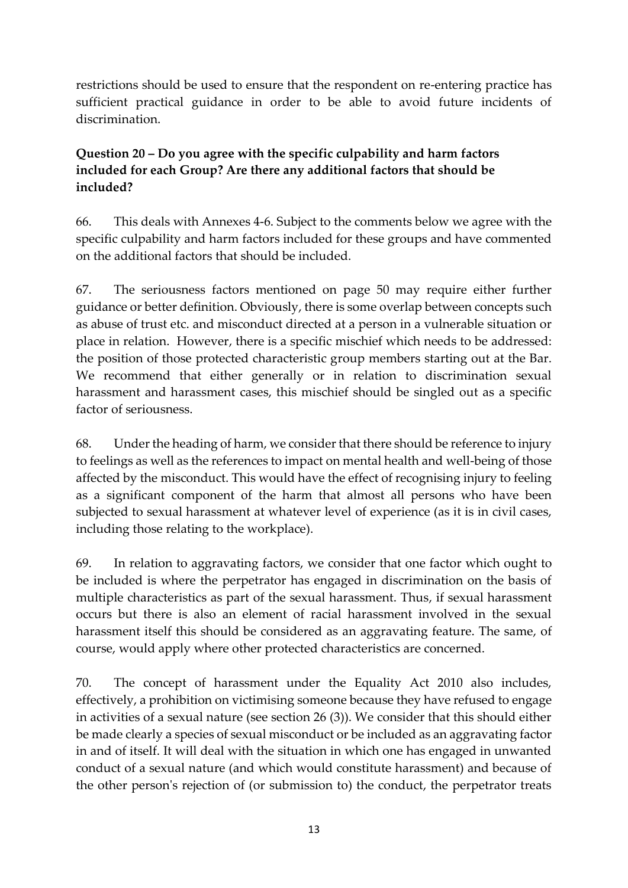restrictions should be used to ensure that the respondent on re-entering practice has sufficient practical guidance in order to be able to avoid future incidents of discrimination.

## **Question 20 – Do you agree with the specific culpability and harm factors included for each Group? Are there any additional factors that should be included?**

66. This deals with Annexes 4-6. Subject to the comments below we agree with the specific culpability and harm factors included for these groups and have commented on the additional factors that should be included.

67. The seriousness factors mentioned on page 50 may require either further guidance or better definition. Obviously, there is some overlap between concepts such as abuse of trust etc. and misconduct directed at a person in a vulnerable situation or place in relation. However, there is a specific mischief which needs to be addressed: the position of those protected characteristic group members starting out at the Bar. We recommend that either generally or in relation to discrimination sexual harassment and harassment cases, this mischief should be singled out as a specific factor of seriousness.

68. Under the heading of harm, we consider that there should be reference to injury to feelings as well as the references to impact on mental health and well-being of those affected by the misconduct. This would have the effect of recognising injury to feeling as a significant component of the harm that almost all persons who have been subjected to sexual harassment at whatever level of experience (as it is in civil cases, including those relating to the workplace).

69. In relation to aggravating factors, we consider that one factor which ought to be included is where the perpetrator has engaged in discrimination on the basis of multiple characteristics as part of the sexual harassment. Thus, if sexual harassment occurs but there is also an element of racial harassment involved in the sexual harassment itself this should be considered as an aggravating feature. The same, of course, would apply where other protected characteristics are concerned.

70. The concept of harassment under the Equality Act 2010 also includes, effectively, a prohibition on victimising someone because they have refused to engage in activities of a sexual nature (see section 26 (3)). We consider that this should either be made clearly a species of sexual misconduct or be included as an aggravating factor in and of itself. It will deal with the situation in which one has engaged in unwanted conduct of a sexual nature (and which would constitute harassment) and because of the other person's rejection of (or submission to) the conduct, the perpetrator treats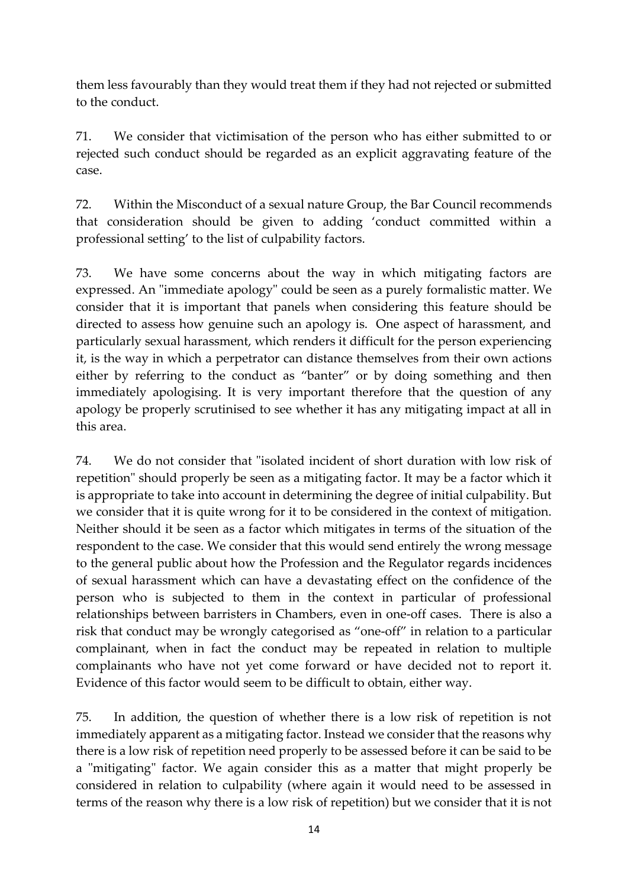them less favourably than they would treat them if they had not rejected or submitted to the conduct.

71. We consider that victimisation of the person who has either submitted to or rejected such conduct should be regarded as an explicit aggravating feature of the case.

72. Within the Misconduct of a sexual nature Group, the Bar Council recommends that consideration should be given to adding 'conduct committed within a professional setting' to the list of culpability factors.

73. We have some concerns about the way in which mitigating factors are expressed. An "immediate apology" could be seen as a purely formalistic matter. We consider that it is important that panels when considering this feature should be directed to assess how genuine such an apology is. One aspect of harassment, and particularly sexual harassment, which renders it difficult for the person experiencing it, is the way in which a perpetrator can distance themselves from their own actions either by referring to the conduct as "banter" or by doing something and then immediately apologising. It is very important therefore that the question of any apology be properly scrutinised to see whether it has any mitigating impact at all in this area.

74. We do not consider that "isolated incident of short duration with low risk of repetition" should properly be seen as a mitigating factor. It may be a factor which it is appropriate to take into account in determining the degree of initial culpability. But we consider that it is quite wrong for it to be considered in the context of mitigation. Neither should it be seen as a factor which mitigates in terms of the situation of the respondent to the case. We consider that this would send entirely the wrong message to the general public about how the Profession and the Regulator regards incidences of sexual harassment which can have a devastating effect on the confidence of the person who is subjected to them in the context in particular of professional relationships between barristers in Chambers, even in one-off cases. There is also a risk that conduct may be wrongly categorised as "one-off" in relation to a particular complainant, when in fact the conduct may be repeated in relation to multiple complainants who have not yet come forward or have decided not to report it. Evidence of this factor would seem to be difficult to obtain, either way.

75. In addition, the question of whether there is a low risk of repetition is not immediately apparent as a mitigating factor. Instead we consider that the reasons why there is a low risk of repetition need properly to be assessed before it can be said to be a "mitigating" factor. We again consider this as a matter that might properly be considered in relation to culpability (where again it would need to be assessed in terms of the reason why there is a low risk of repetition) but we consider that it is not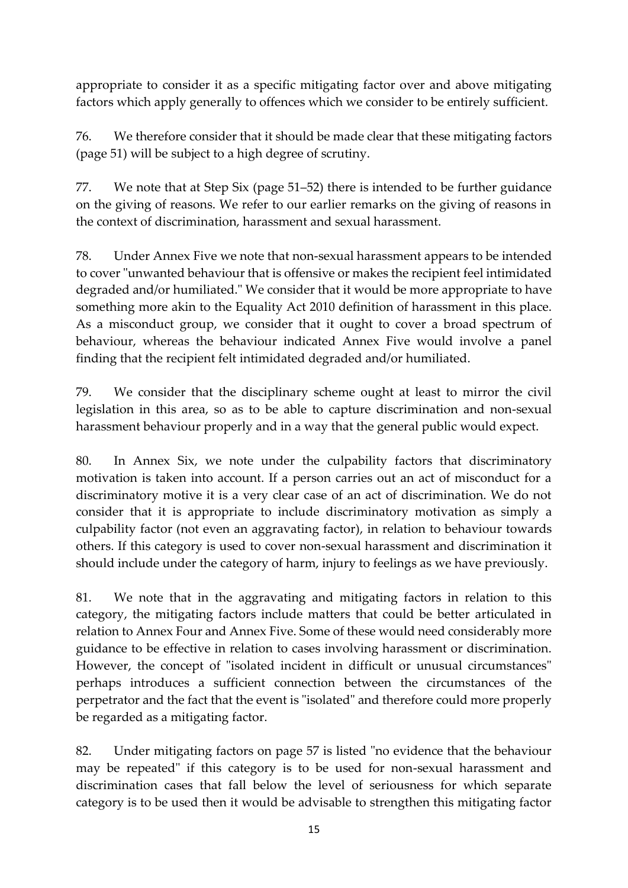appropriate to consider it as a specific mitigating factor over and above mitigating factors which apply generally to offences which we consider to be entirely sufficient.

76. We therefore consider that it should be made clear that these mitigating factors (page 51) will be subject to a high degree of scrutiny.

77. We note that at Step Six (page 51–52) there is intended to be further guidance on the giving of reasons. We refer to our earlier remarks on the giving of reasons in the context of discrimination, harassment and sexual harassment.

78. Under Annex Five we note that non-sexual harassment appears to be intended to cover "unwanted behaviour that is offensive or makes the recipient feel intimidated degraded and/or humiliated." We consider that it would be more appropriate to have something more akin to the Equality Act 2010 definition of harassment in this place. As a misconduct group, we consider that it ought to cover a broad spectrum of behaviour, whereas the behaviour indicated Annex Five would involve a panel finding that the recipient felt intimidated degraded and/or humiliated.

79. We consider that the disciplinary scheme ought at least to mirror the civil legislation in this area, so as to be able to capture discrimination and non-sexual harassment behaviour properly and in a way that the general public would expect.

80. In Annex Six, we note under the culpability factors that discriminatory motivation is taken into account. If a person carries out an act of misconduct for a discriminatory motive it is a very clear case of an act of discrimination. We do not consider that it is appropriate to include discriminatory motivation as simply a culpability factor (not even an aggravating factor), in relation to behaviour towards others. If this category is used to cover non-sexual harassment and discrimination it should include under the category of harm, injury to feelings as we have previously.

81. We note that in the aggravating and mitigating factors in relation to this category, the mitigating factors include matters that could be better articulated in relation to Annex Four and Annex Five. Some of these would need considerably more guidance to be effective in relation to cases involving harassment or discrimination. However, the concept of "isolated incident in difficult or unusual circumstances" perhaps introduces a sufficient connection between the circumstances of the perpetrator and the fact that the event is "isolated" and therefore could more properly be regarded as a mitigating factor.

82. Under mitigating factors on page 57 is listed "no evidence that the behaviour may be repeated" if this category is to be used for non-sexual harassment and discrimination cases that fall below the level of seriousness for which separate category is to be used then it would be advisable to strengthen this mitigating factor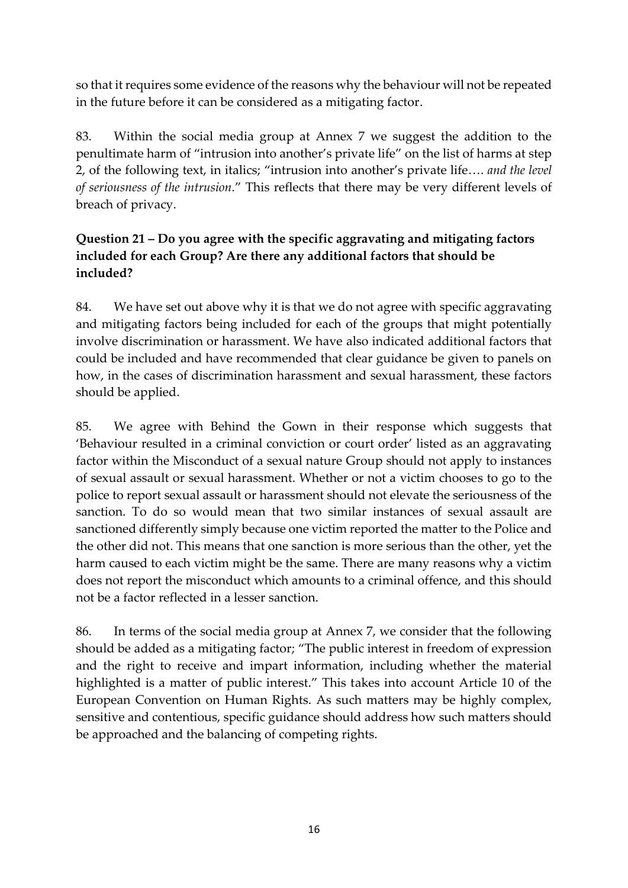so that it requires some evidence of the reasons why the behaviour will not be repeated in the future before it can be considered as a mitigating factor.

83. Within the social media group at Annex 7 we suggest the addition to the penultimate harm of "intrusion into another's private life" on the list of harms at step 2, of the following text, in italics; "intrusion into another's private life…. *and the level of seriousness of the intrusion.*" This reflects that there may be very different levels of breach of privacy.

## **Question 21 – Do you agree with the specific aggravating and mitigating factors included for each Group? Are there any additional factors that should be included?**

84. We have set out above why it is that we do not agree with specific aggravating and mitigating factors being included for each of the groups that might potentially involve discrimination or harassment. We have also indicated additional factors that could be included and have recommended that clear guidance be given to panels on how, in the cases of discrimination harassment and sexual harassment, these factors should be applied.

85. We agree with Behind the Gown in their response which suggests that 'Behaviour resulted in a criminal conviction or court order' listed as an aggravating factor within the Misconduct of a sexual nature Group should not apply to instances of sexual assault or sexual harassment. Whether or not a victim chooses to go to the police to report sexual assault or harassment should not elevate the seriousness of the sanction. To do so would mean that two similar instances of sexual assault are sanctioned differently simply because one victim reported the matter to the Police and the other did not. This means that one sanction is more serious than the other, yet the harm caused to each victim might be the same. There are many reasons why a victim does not report the misconduct which amounts to a criminal offence, and this should not be a factor reflected in a lesser sanction.

86. In terms of the social media group at Annex 7, we consider that the following should be added as a mitigating factor; "The public interest in freedom of expression and the right to receive and impart information, including whether the material highlighted is a matter of public interest." This takes into account Article 10 of the European Convention on Human Rights. As such matters may be highly complex, sensitive and contentious, specific guidance should address how such matters should be approached and the balancing of competing rights.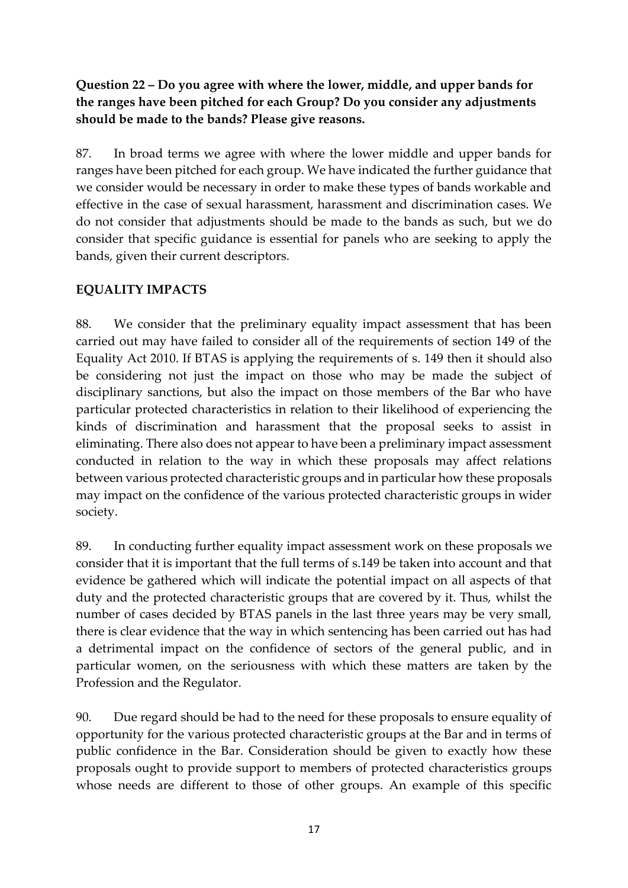## **Question 22 – Do you agree with where the lower, middle, and upper bands for the ranges have been pitched for each Group? Do you consider any adjustments should be made to the bands? Please give reasons.**

87. In broad terms we agree with where the lower middle and upper bands for ranges have been pitched for each group. We have indicated the further guidance that we consider would be necessary in order to make these types of bands workable and effective in the case of sexual harassment, harassment and discrimination cases. We do not consider that adjustments should be made to the bands as such, but we do consider that specific guidance is essential for panels who are seeking to apply the bands, given their current descriptors.

## **EQUALITY IMPACTS**

88. We consider that the preliminary equality impact assessment that has been carried out may have failed to consider all of the requirements of section 149 of the Equality Act 2010. If BTAS is applying the requirements of s. 149 then it should also be considering not just the impact on those who may be made the subject of disciplinary sanctions, but also the impact on those members of the Bar who have particular protected characteristics in relation to their likelihood of experiencing the kinds of discrimination and harassment that the proposal seeks to assist in eliminating. There also does not appear to have been a preliminary impact assessment conducted in relation to the way in which these proposals may affect relations between various protected characteristic groups and in particular how these proposals may impact on the confidence of the various protected characteristic groups in wider society.

89. In conducting further equality impact assessment work on these proposals we consider that it is important that the full terms of s.149 be taken into account and that evidence be gathered which will indicate the potential impact on all aspects of that duty and the protected characteristic groups that are covered by it. Thus, whilst the number of cases decided by BTAS panels in the last three years may be very small, there is clear evidence that the way in which sentencing has been carried out has had a detrimental impact on the confidence of sectors of the general public, and in particular women, on the seriousness with which these matters are taken by the Profession and the Regulator.

90. Due regard should be had to the need for these proposals to ensure equality of opportunity for the various protected characteristic groups at the Bar and in terms of public confidence in the Bar. Consideration should be given to exactly how these proposals ought to provide support to members of protected characteristics groups whose needs are different to those of other groups. An example of this specific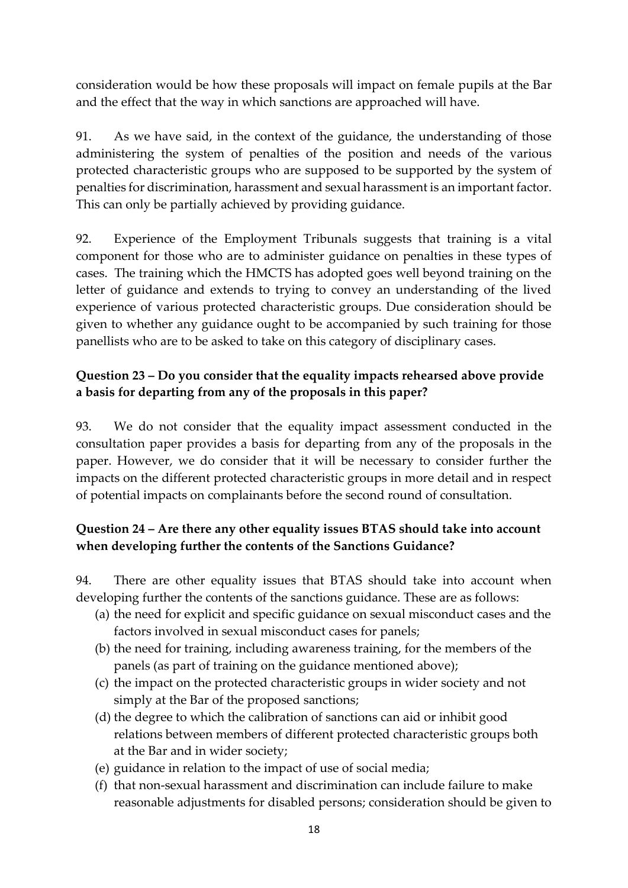consideration would be how these proposals will impact on female pupils at the Bar and the effect that the way in which sanctions are approached will have.

91. As we have said, in the context of the guidance, the understanding of those administering the system of penalties of the position and needs of the various protected characteristic groups who are supposed to be supported by the system of penalties for discrimination, harassment and sexual harassment is an important factor. This can only be partially achieved by providing guidance.

92. Experience of the Employment Tribunals suggests that training is a vital component for those who are to administer guidance on penalties in these types of cases. The training which the HMCTS has adopted goes well beyond training on the letter of guidance and extends to trying to convey an understanding of the lived experience of various protected characteristic groups. Due consideration should be given to whether any guidance ought to be accompanied by such training for those panellists who are to be asked to take on this category of disciplinary cases.

## **Question 23 – Do you consider that the equality impacts rehearsed above provide a basis for departing from any of the proposals in this paper?**

93. We do not consider that the equality impact assessment conducted in the consultation paper provides a basis for departing from any of the proposals in the paper. However, we do consider that it will be necessary to consider further the impacts on the different protected characteristic groups in more detail and in respect of potential impacts on complainants before the second round of consultation.

## **Question 24 – Are there any other equality issues BTAS should take into account when developing further the contents of the Sanctions Guidance?**

94. There are other equality issues that BTAS should take into account when developing further the contents of the sanctions guidance. These are as follows:

- (a) the need for explicit and specific guidance on sexual misconduct cases and the factors involved in sexual misconduct cases for panels;
- (b) the need for training, including awareness training, for the members of the panels (as part of training on the guidance mentioned above);
- (c) the impact on the protected characteristic groups in wider society and not simply at the Bar of the proposed sanctions;
- (d) the degree to which the calibration of sanctions can aid or inhibit good relations between members of different protected characteristic groups both at the Bar and in wider society;
- (e) guidance in relation to the impact of use of social media;
- (f) that non-sexual harassment and discrimination can include failure to make reasonable adjustments for disabled persons; consideration should be given to